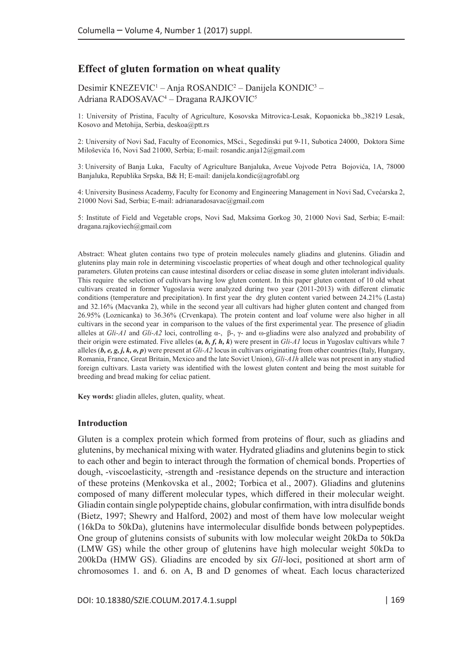# **Effect of gluten formation on wheat quality**

Desimir KNEZEVIC<sup>1</sup> – Anja ROSANDIC<sup>2</sup> – Danijela KONDIC<sup>3</sup> – Adriana RADOSAVAC4 – Dragana RAJKOVIC5

1: University of Pristina, Faculty of Agriculture, Kosovska Mitrovica-Lesak, Kopaonicka bb.,38219 Lesak, Kosovo and Metohija, Serbia, [deskoa@ptt.rs](mailto:deskoa@ptt.rs)

2: University of Novi Sad, Faculty of Economics, MSci., Segedinski put 9-11, Subotica 24000, Doktora Sime Miloševića 16, Novi Sad 21000, Serbia; E-mail: [rosandic.anja12@gmail.com](mailto:rosandic.anja12@gmail.com)

3: University of Banja Luka, Faculty of Agriculture Banjaluka, Aveue Vojvode Petra Bojovića, 1A, 78000 Banjaluka, Republika Srpska, B& H; E-mail: [danijela.kondic@agrofabl.org](mailto:danijela.kondic@agrofabl.org)

4: University Business Academy, Faculty for Economy and Engineering Management in Novi Sad, Cvećarska 2, 21000 Novi Sad, Serbia; E-mail: [adrianaradosavac@gmail.com](mailto:adrianaradosavac@gmail.com)

5: Institute of Field and Vegetable crops, Novi Sad, Maksima Gorkog 30, 21000 Novi Sad, Serbia; E-mail: [dragana.rajkoviech@gmail.com](mailto:dragana.rajkoviech@gmail.com)

Abstract: Wheat gluten contains two type of protein molecules namely gliadins and glutenins. Gliadin and glutenins play main role in determining viscoelastic properties of wheat dough and other technological quality parameters. Gluten proteins can cause intestinal disorders or celiac disease in some gluten intolerant individuals. This require the selection of cultivars having low gluten content. In this paper gluten content of 10 old wheat cultivars created in former Yugoslavia were analyzed during two year (2011-2013) with different climatic conditions (temperature and precipitation). In first year the dry gluten content varied between 24.21% (Lasta) and 32.16% (Macvanka 2), while in the second year all cultivars had higher gluten content and changed from 26.95% (Loznicanka) to 36.36% (Crvenkapa). The protein content and loaf volume were also higher in all cultivars in the second year in comparison to the values of the first experimental year. The presence of gliadin alleles at *Gli-A1* and *Gli-A2* loci, controlling α-, β-, γ- and ω-gliadins were also analyzed and probability of their origin were estimated. Five alleles (*a, b, f, h, k*) were present in *Gli-A1* locus in Yugoslav cultivars while 7 alleles (*b, e, g, j, k, o, p*) were present at *Gli-A2* locus in cultivars originating from other countries (Italy, Hungary, Romania, France, Great Britain, Mexico and the late Soviet Union), *Gli-A1h* allele was not present in any studied foreign cultivars. Lasta variety was identified with the lowest gluten content and being the most suitable for breeding and bread making for celiac patient.

**Key words:** gliadin alleles, gluten, quality, wheat.

#### **Introduction**

Gluten is a complex protein which formed from proteins of flour, such as gliadins and glutenins, by mechanical mixing with water. Hydrated gliadins and glutenins begin to stick to each other and begin to interact through the formation of chemical bonds. Properties of dough, -viscoelasticity, -strength and -resistance depends on the structure and interaction of these proteins (Menkovska et al., 2002; Torbica et al., 2007). Gliadins and glutenins composed of many different molecular types, which differed in their molecular weight. Gliadin contain single polypeptide chains, globular confirmation, with intra disulfide bonds (Bietz, 1997; Shewry and Halford, 2002) and most of them have low molecular weight (16kDa to 50kDa), glutenins have intermolecular disulfide bonds between polypeptides. One group of glutenins consists of subunits with low molecular weight 20kDa to 50kDa (LMW GS) while the other group of glutenins have high molecular weight 50kDa to 200kDa (HMW GS). Gliadins are encoded by six *Gli-*loci, positioned at short arm of chromosomes 1. and 6. on A, B and D genomes of wheat. Each locus characterized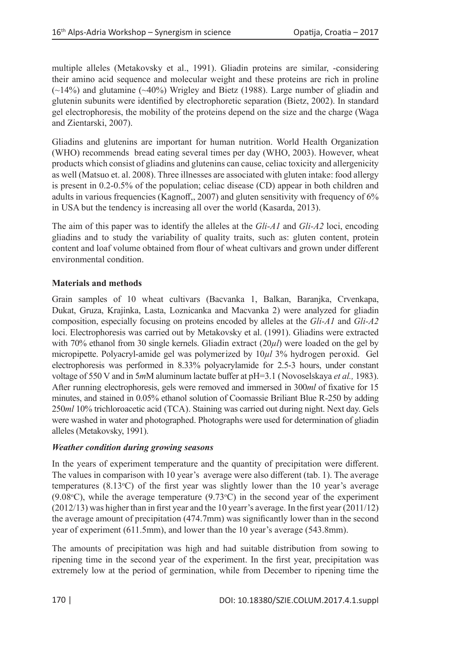multiple alleles (Metakovsky et al., 1991). Gliadin proteins are similar, -considering their amino acid sequence and molecular weight and these proteins are rich in proline (~14%) and glutamine (~40%) Wrigley and Bietz (1988). Large number of gliadin and glutenin subunits were identified by electrophoretic separation (Bietz, 2002). In standard gel electrophoresis, the mobility of the proteins depend on the size and the charge (Waga and Zientarski, 2007).

Gliadins and glutenins are important for human nutrition. World Health Organization (WHO) recommends bread eating several times per day (WHO, 2003). However, wheat products which consist of gliadins and glutenins can cause, celiac toxicity and allergenicity as well (Matsuo et. al. 2008). Three illnesses are associated with gluten intake: food allergy is present in 0.2-0.5% of the population; celiac disease (CD) appear in both children and adults in various frequencies (Kagnoff,, 2007) and gluten sensitivity with frequency of 6% in USA but the tendency is increasing all over the world (Kasarda, 2013).

The aim of this paper was to identify the alleles at the *Gli-A1* and *Gli-A2* loci, encoding gliadins and to study the variability of quality traits, such as: gluten content, protein content and loaf volume obtained from flour of wheat cultivars and grown under different environmental condition.

# **Materials and methods**

Grain samples of 10 wheat cultivars (Bacvanka 1, Balkan, Baranjka, Crvenkapa, Dukat, Gruza, Krajinka, Lasta, Loznicanka and Macvanka 2) were analyzed for gliadin composition, especially focusing on proteins encoded by alleles at the *Gli-A1* and *Gli-A2* loci. Electrophoresis was carried out by Metakovsky et al. (1991). Gliadins were extracted with 70% ethanol from 30 single kernels. Gliadin extract (20*µl*) were loaded on the gel by micropipette. Polyacryl-amide gel was polymerized by 10*µl* 3% hydrogen peroxid. Gel electrophoresis was performed in 8.33% polyacrylamide for 2.5-3 hours, under constant voltage of 550 V and in 5*m*М aluminum lactate buffer at pH=3.1 (Novoselskaya *et al.,* 1983). After running electrophoresis, gels were removed and immersed in 300*ml* of fixative for 15 minutes, and stained in 0.05% ethanol solution of Coomassie Briliant Blue R-250 by adding 250*ml* 10% trichloroacetic acid (TCA). Staining was carried out during night. Next day. Gels were washed in water and photographed. Photographs were used for determination of gliadin alleles (Metakovsky, 1991).

# *Weather condition during growing seasons*

In the years of experiment temperature and the quantity of precipitation were different. The values in comparison with 10 year's average were also different (tab. 1). The average temperatures  $(8.13^{\circ}\text{C})$  of the first year was slightly lower than the 10 year's average  $(9.08\textdegree C)$ , while the average temperature  $(9.73\textdegree C)$  in the second year of the experiment (2012/13) was higher than in first year and the 10 yearr's average. In the first year (2011/12) the average amount of precipitation (474.7mm) was significantly lower than in the second year of experiment (611.5mm), and lower than the 10 year's average (543.8mm).

The amounts of precipitation was high and had suitable distribution from sowing to ripening time in the second year of the experiment. In the first year, precipitation was extremely low at the period of germination, while from December to ripening time the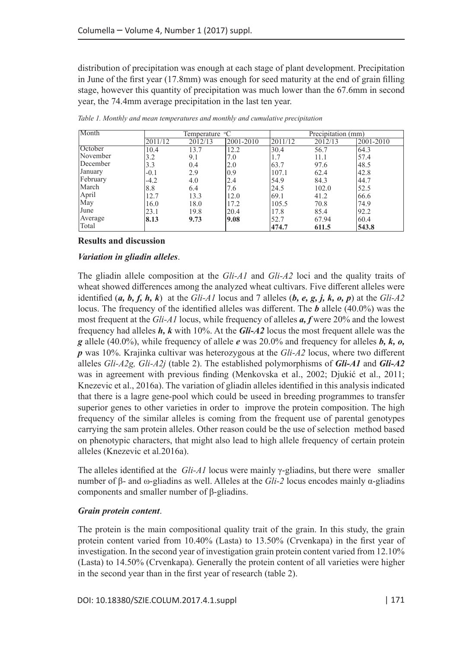distribution of precipitation was enough at each stage of plant development. Precipitation in June of the first year (17.8mm) was enough for seed maturity at the end of grain filling stage, however this quantity of precipitation was much lower than the 67.6mm in second year, the 74.4mm average precipitation in the last ten year.

| Month           |         | Temperature <sup>o</sup> C |           | Precipitation (mm) |         |           |  |
|-----------------|---------|----------------------------|-----------|--------------------|---------|-----------|--|
|                 | 2011/12 | 2012/13                    | 2001-2010 | 2011/12            | 2012/13 | 2001-2010 |  |
| October         | 10.4    | 13.7                       | 12.2      | 30.4               | 56.7    | 64.3      |  |
| <b>November</b> | 3.2     | 9.1                        | 7.0       | 1.7                | 11.1    | 57.4      |  |
| December        | 3.3     | 0.4                        | 2.0       | 63.7               | 97.6    | 48.5      |  |
| January         | $-0.1$  | 2.9                        | 0.9       | 107.1              | 62.4    | 42.8      |  |
| February        | $-4.2$  | 4.0                        | 2.4       | 54.9               | 84.3    | 44.7      |  |
| March           | 8.8     | 6.4                        | 7.6       | 24.5               | 102.0   | 52.5      |  |
| April           | 12.7    | 13.3                       | 12.0      | 69.1               | 41.2    | 66.6      |  |
| May             | 16.0    | 18.0                       | 17.2      | 105.5              | 70.8    | 74.9      |  |
| June            | 23.1    | 19.8                       | 20.4      | 17.8               | 85.4    | 92.2      |  |
| Average         | 8.13    | 9.73                       | 9.08      | 52.7               | 67.94   | 60.4      |  |
| Total           |         |                            |           | 474.7              | 611.5   | 543.8     |  |

*Table 1. Monthly and mean temperatures and monthly and cumulative precipitation*

### **Results and discussion**

# *Variation in gliadin alleles*.

The gliadin allele composition at the *Gli-A1* and *Gli-A2* loci and the quality traits of wheat showed differences among the analyzed wheat cultivars. Five different alleles were identified  $(a, b, f, h, k)$  at the *Gli-A1* locus and 7 alleles  $(b, e, g, j, k, o, p)$  at the *Gli-A2* locus. The frequency of the identified alleles was different. The *b* allele (40.0%) was the most frequent at the *Gli-A1* locus, while frequency of alleles *a, f* were 20% and the lowest frequency had alleles *h, k* with 10%. At the *Gli-A2* locus the most frequent allele was the *g* allele (40.0%), while frequency of allele *e* was 20.0% and frequency for alleles *b, k, o, p* was 10%. Krajinka cultivar was heterozygous at the *Gli-A2* locus, where two different alleles *Gli-A2g, Gli-A2j* (table 2). The established polymorphisms of *Gli-A1* and *Gli-A2* was in agreement with previous finding (Menkovska et al., 2002; Djukić et al., 2011; Knezevic et al., 2016a). The variation of gliadin alleles identified in this analysis indicated that there is a lagre gene-pool which could be useed in breeding programmes to transfer superior genes to other varieties in order to improve the protein composition. The high frequency of the similar alleles is coming from the frequent use of parental genotypes carrying the sam protein alleles. Other reason could be the use of selection method based on phenotypic characters, that might also lead to high allele frequency of certain protein alleles (Knezevic et al.2016a).

The alleles identified at the *Gli-A1* locus were mainly  $\gamma$ -gliadins, but there were smaller number of β- and ω-gliadins as well. Alleles at the *Gli-2* locus encodes mainly α-gliadins components and smaller number of β-gliadins.

# *Grain protein content*.

The protein is the main compositional quality trait of the grain. In this study, the grain protein content varied from 10.40% (Lasta) to 13.50% (Crvenkapa) in the first year of investigation. In the second year of investigation grain protein content varied from 12.10% (Lasta) to 14.50% (Crvenkapa). Generally the protein content of all varieties were higher in the second year than in the first year of research (table 2).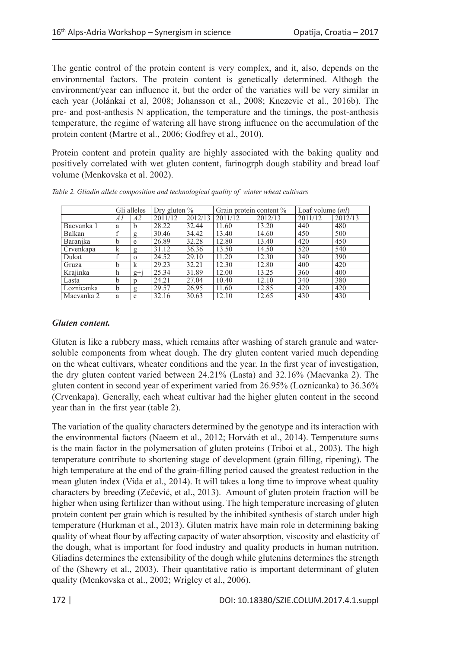The gentic control of the protein content is very complex, and it, also, depends on the environmental factors. The protein content is genetically determined. Althogh the environment/year can influence it, but the order of the variaties will be very similar in each year (Jolánkai et al, 2008; Johansson et al., 2008; Knezevic et al., 2016b). The pre- and post-anthesis N application, the temperature and the timings, the post-anthesis temperature, the regime of watering all have strong influence on the accumulation of the protein content (Martre et al., 2006; Godfrey et al., 2010).

Protein content and protein quality are highly associated with the baking quality and positively correlated with wet gluten content, farinogrph dough stability and bread loaf volume (Menkovska et al. 2002).

|            | Gli alleles |                | Dry gluten $\%$ |         | Grain protein content % |         | Loaf volume $(ml)$ |         |
|------------|-------------|----------------|-----------------|---------|-------------------------|---------|--------------------|---------|
|            | Al          | A2             | 2011/12         | 2012/13 | 2011/12                 | 2012/13 | 2011/12            | 2012/13 |
| Bacvanka 1 | a           | b              | 28.22           | 32.44   | 11.60                   | 13.20   | 440                | 480     |
| Balkan     |             | g              | 30.46           | 34.42   | 13.40                   | 14.60   | 450                | 500     |
| Baranika   | b           | e              | 26.89           | 32.28   | 12.80                   | 13.40   | 420                | 450     |
| Crvenkapa  | k           | $\mathbf{g}$   | 31.12           | 36.36   | 13.50                   | 14.50   | 520                | 540     |
| Dukat      |             | $\mathbf{o}$   | 24.52           | 29.10   | 11.20                   | 12.30   | 340                | 390     |
| Gruza      | b           | k              | 29.23           | 32.21   | 12.30                   | 12.80   | 400                | 420     |
| Krajinka   | h           | $g+j$          | 25.34           | 31.89   | 12.00                   | 13.25   | 360                | 400     |
| Lasta      | b           | $\mathfrak{p}$ | 24.21           | 27.04   | 10.40                   | 12.10   | 340                | 380     |
| Loznicanka | b           | $\mathbf{g}$   | 29.57           | 26.95   | 11.60                   | 12.85   | 420                | 420     |
| Macvanka 2 | a           | e              | 32.16           | 30.63   | 12.10                   | 12.65   | 430                | 430     |

*Table 2. Gliadin allele composition and technological quality of winter wheat cultivars* 

# *Gluten content.*

Gluten is like a rubbery mass, which remains after washing of starch granule and watersoluble components from wheat dough. The dry gluten content varied much depending on the wheat cultivars, wheater conditions and the year. In the first year of investigation, the dry gluten content varied between 24.21% (Lasta) and 32.16% (Macvanka 2). The gluten content in second year of experiment varied from 26.95% (Loznicanka) to 36.36% (Crvenkapa). Generally, each wheat cultivar had the higher gluten content in the second year than in the first year (table 2).

The variation of the quality characters determined by the genotype and its interaction with the environmental factors (Naeem et al., 2012; Horváth et al., 2014). Temperature sums is the main factor in the polymersation of gluten proteins (Triboi et al., 2003). The high temperature contribute to shortening stage of development (grain filling, ripening). The high temperature at the end of the grain-filling period caused the greatest reduction in the mean gluten index (Vida et al., 2014). It will takes a long time to improve wheat quality characters by breeding (Zečević, et al., 2013). Amount of gluten protein fraction will be higher when using fertilizer than without using. The high temperature increasing of gluten protein content per grain which is resulted by the inhibited synthesis of starch under high temperature (Hurkman et al., 2013). Gluten matrix have main role in determining baking quality of wheat flour by affecting capacity of water absorption, viscosity and elasticity of the dough, what is important for food industry and quality products in human nutrition. Gliadins determines the extensibility of the dough while glutenins determines the strength of the (Shewry et al., 2003). Their quantitative ratio is important determinant of gluten quality (Menkovska et al., 2002; Wrigley et al., 2006).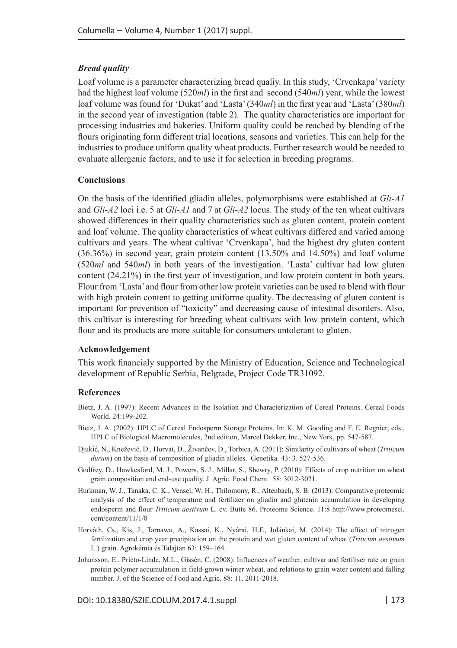### *Bread quality*

Loaf volume is a parameter characterizing bread qualiy. In this study, 'Crvenkapa' variety had the highest loaf volume (520*ml*) in the first and second (540*ml*) year, while the lowest loaf volume was found for 'Dukat' and 'Lasta' (340*ml*) in the first year and 'Lasta' (380*ml*) in the second year of investigation (table 2). The quality characteristics are important for processing industries and bakeries. Uniform quality could be reached by blending of the flours originating form different trial locations, seasons and varieties. This can help for the industries to produce uniform quality wheat products. Further research would be needed to evaluate allergenic factors, and to use it for selection in breeding programs.

### **Conclusions**

On the basis of the identified gliadin alleles, polymorphisms were established at *Gli-A1* and *Gli-A2* loci i.e. 5 at *Gli-A1* and 7 at *Gli-A2* locus. The study of the ten wheat cultivars showed differences in their quality characteristics such as gluten content, protein content and loaf volume. The quality characteristics of wheat cultivars differed and varied among cultivars and years. The wheat cultivar 'Crvenkapa', had the highest dry gluten content (36.36%) in second year, grain protein content (13.50% and 14.50%) and loaf volume (520*ml* and 540*ml*) in both years of the investigation. 'Lasta' cultivar had low gluten content (24.21%) in the first year of investigation, and low protein content in both years. Flour from 'Lasta' and flour from other low protein varieties can be used to blend with flour with high protein content to getting uniforme quality. The decreasing of gluten content is important for prevention of "toxicity" and decreasing cause of intestinal disorders. Also, this cultivar is interesting for breeding wheat cultivars with low protein content, which flour and its products are more suitable for consumers untolerant to gluten.

### **Acknowledgement**

This work financialy supported by the Ministry of Education, Science and Technological development of Republic Serbia, Belgrade, Project Code TR31092.

### **References**

- Bietz, J. A. (1997): Recent Advances in the Isolation and Characterization of Cereal Proteins. Cereal Foods World. 24:199-202.
- Bietz, J. A. (2002): HPLC of Cereal Endosperm Storage Proteins. In: K. M. Gooding and F. E. Regnier, eds., HPLC of Biological Macromolecules, 2nd edition, Marcel Dekker, Inc., New York, pp. 547-587.
- Djukić, N., Knežević, D., Horvat, D., Živančev, D., Torbica, A. (2011): Similarity of cultivars of wheat (*Triticum durum*) on the basis of composition of gliadin alleles. Genetika. 43: 3. 527-536.
- Godfrey, D., Hawkesford, M. J., Powers, S. J., Millar, S., Shewry, P. (2010): Effects of crop nutrition on wheat grain composition and end-use quality. J. Agric. Food Chem. 58: 3012-3021.
- Hurkman, W. J., Tanaka, C. K., Vensel, W. H., Thilomony, R., Altenbach, S. B. (2013): Comparative proteomic analysis of the effect of temperature and fertilizer on gliadin and glutenin accumulation in developing endosperm and flour *Triticum aestivum* L. cv. Butte 86. Proteome Science. 11:8 http://www.proteomesci. com/content/11/1/8
- Horváth, Cs., Kis, J., Tarnawa, Á., Kassai, K., Nyárai, H.F., Jolánkai, M. (2014): The effect of nitrogen fertilization and crop year precipitation on the protein and wet gluten content of wheat (*Triticum aestivum* L.) grain. Agrokémia és Talajtan 63: 159–164.
- Johansson, E., Prieto-Linde, M.L., Gissén, C. (2008): Influences of weather, cultivar and fertiliser rate on grain protein polymer accumulation in field-grown winter wheat, and relations to grain water content and falling number. J. of the Science of Food and Agric. 88: 11. 2011-2018.